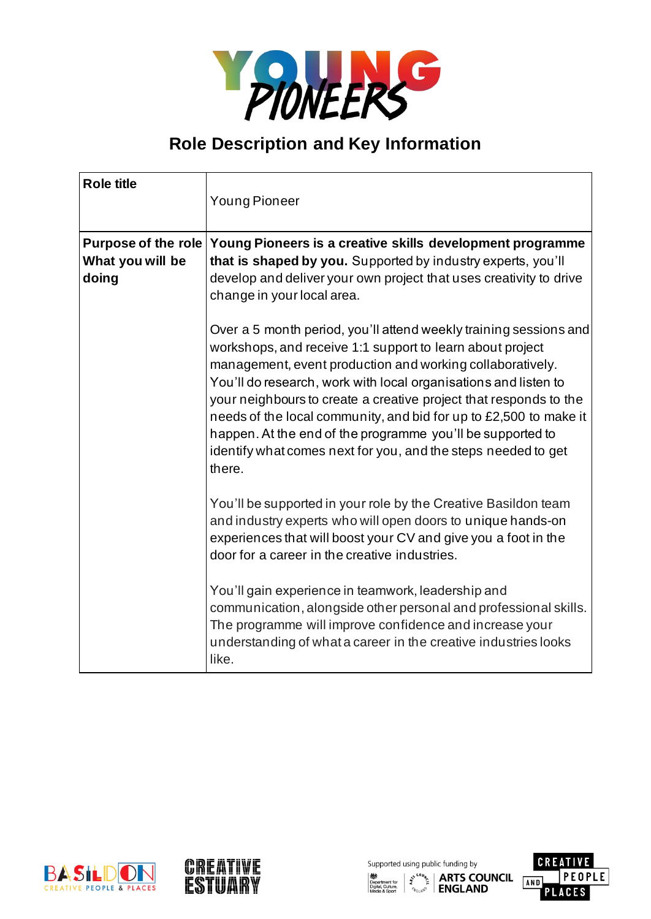

## **Role Description and Key Information**

| <b>Role title</b>          | <b>Young Pioneer</b>                                                                                                                                                                                                                                                                                                                                                                                                                                                                                                                              |
|----------------------------|---------------------------------------------------------------------------------------------------------------------------------------------------------------------------------------------------------------------------------------------------------------------------------------------------------------------------------------------------------------------------------------------------------------------------------------------------------------------------------------------------------------------------------------------------|
| <b>Purpose of the role</b> | Young Pioneers is a creative skills development programme                                                                                                                                                                                                                                                                                                                                                                                                                                                                                         |
| What you will be<br>doing  | that is shaped by you. Supported by industry experts, you'll<br>develop and deliver your own project that uses creativity to drive<br>change in your local area.                                                                                                                                                                                                                                                                                                                                                                                  |
|                            | Over a 5 month period, you'll attend weekly training sessions and<br>workshops, and receive 1:1 support to learn about project<br>management, event production and working collaboratively.<br>You'll do research, work with local organisations and listen to<br>your neighbours to create a creative project that responds to the<br>needs of the local community, and bid for up to £2,500 to make it<br>happen. At the end of the programme you'll be supported to<br>identify what comes next for you, and the steps needed to get<br>there. |
|                            | You'll be supported in your role by the Creative Basildon team<br>and industry experts who will open doors to unique hands-on<br>experiences that will boost your CV and give you a foot in the<br>door for a career in the creative industries.                                                                                                                                                                                                                                                                                                  |
|                            | You'll gain experience in teamwork, leadership and<br>communication, alongside other personal and professional skills.<br>The programme will improve confidence and increase your<br>understanding of what a career in the creative industries looks<br>like.                                                                                                                                                                                                                                                                                     |





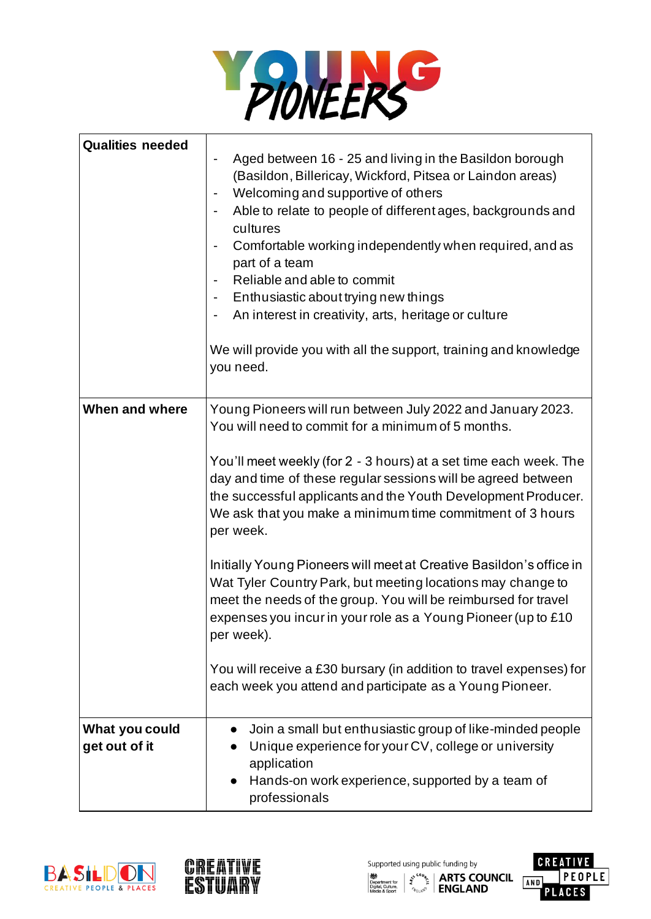

| <b>Qualities needed</b>         | Aged between 16 - 25 and living in the Basildon borough<br>(Basildon, Billericay, Wickford, Pitsea or Laindon areas)<br>Welcoming and supportive of others<br>Able to relate to people of different ages, backgrounds and<br>cultures<br>Comfortable working independently when required, and as<br>part of a team<br>Reliable and able to commit<br>Enthusiastic about trying new things<br>An interest in creativity, arts, heritage or culture<br>We will provide you with all the support, training and knowledge                                                                                                                                                                                                                                                                                                        |
|---------------------------------|------------------------------------------------------------------------------------------------------------------------------------------------------------------------------------------------------------------------------------------------------------------------------------------------------------------------------------------------------------------------------------------------------------------------------------------------------------------------------------------------------------------------------------------------------------------------------------------------------------------------------------------------------------------------------------------------------------------------------------------------------------------------------------------------------------------------------|
|                                 | you need.                                                                                                                                                                                                                                                                                                                                                                                                                                                                                                                                                                                                                                                                                                                                                                                                                    |
| When and where                  | Young Pioneers will run between July 2022 and January 2023.<br>You will need to commit for a minimum of 5 months.<br>You'll meet weekly (for 2 - 3 hours) at a set time each week. The<br>day and time of these regular sessions will be agreed between<br>the successful applicants and the Youth Development Producer.<br>We ask that you make a minimum time commitment of 3 hours<br>per week.<br>Initially Young Pioneers will meet at Creative Basildon's office in<br>Wat Tyler Country Park, but meeting locations may change to<br>meet the needs of the group. You will be reimbursed for travel<br>expenses you incur in your role as a Young Pioneer (up to £10<br>per week).<br>You will receive a £30 bursary (in addition to travel expenses) for<br>each week you attend and participate as a Young Pioneer. |
| What you could<br>get out of it | Join a small but enthusiastic group of like-minded people<br>Unique experience for your CV, college or university<br>application<br>Hands-on work experience, supported by a team of<br>professionals                                                                                                                                                                                                                                                                                                                                                                                                                                                                                                                                                                                                                        |





Supported using public funding by